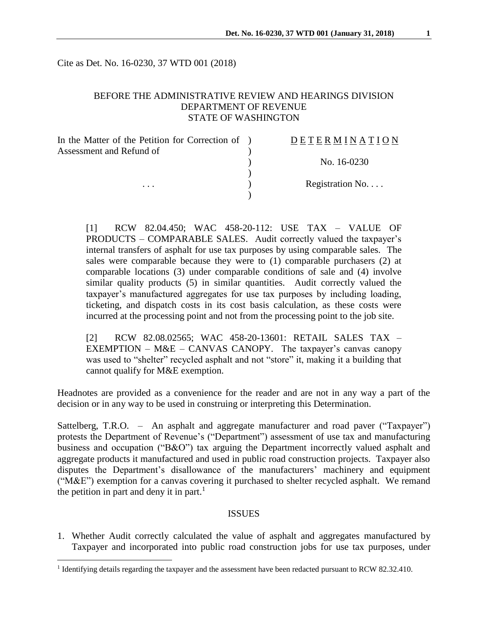Cite as Det. No. 16-0230, 37 WTD 001 (2018)

## BEFORE THE ADMINISTRATIVE REVIEW AND HEARINGS DIVISION DEPARTMENT OF REVENUE STATE OF WASHINGTON

| In the Matter of the Petition for Correction of | <b>DETERMINATION</b> |
|-------------------------------------------------|----------------------|
| Assessment and Refund of                        |                      |
|                                                 | No. 16-0230          |
|                                                 |                      |
| $\cdots$                                        | Registration No      |
|                                                 |                      |

[1] RCW 82.04.450; WAC 458-20-112: USE TAX – VALUE OF PRODUCTS – COMPARABLE SALES. Audit correctly valued the taxpayer's internal transfers of asphalt for use tax purposes by using comparable sales. The sales were comparable because they were to (1) comparable purchasers (2) at comparable locations (3) under comparable conditions of sale and (4) involve similar quality products (5) in similar quantities. Audit correctly valued the taxpayer's manufactured aggregates for use tax purposes by including loading, ticketing, and dispatch costs in its cost basis calculation, as these costs were incurred at the processing point and not from the processing point to the job site.

[2] RCW 82.08.02565; WAC 458-20-13601: RETAIL SALES TAX – EXEMPTION –  $M&E$  – CANVAS CANOPY. The taxpayer's canvas canopy was used to "shelter" recycled asphalt and not "store" it, making it a building that cannot qualify for M&E exemption.

Headnotes are provided as a convenience for the reader and are not in any way a part of the decision or in any way to be used in construing or interpreting this Determination.

Sattelberg, T.R.O. – An asphalt and aggregate manufacturer and road paver ("Taxpayer") protests the Department of Revenue's ("Department") assessment of use tax and manufacturing business and occupation ("B&O") tax arguing the Department incorrectly valued asphalt and aggregate products it manufactured and used in public road construction projects. Taxpayer also disputes the Department's disallowance of the manufacturers' machinery and equipment ("M&E") exemption for a canvas covering it purchased to shelter recycled asphalt. We remand the petition in part and deny it in part.<sup>1</sup>

#### **ISSUES**

1. Whether Audit correctly calculated the value of asphalt and aggregates manufactured by Taxpayer and incorporated into public road construction jobs for use tax purposes, under

<sup>&</sup>lt;sup>1</sup> Identifying details regarding the taxpayer and the assessment have been redacted pursuant to RCW 82.32.410.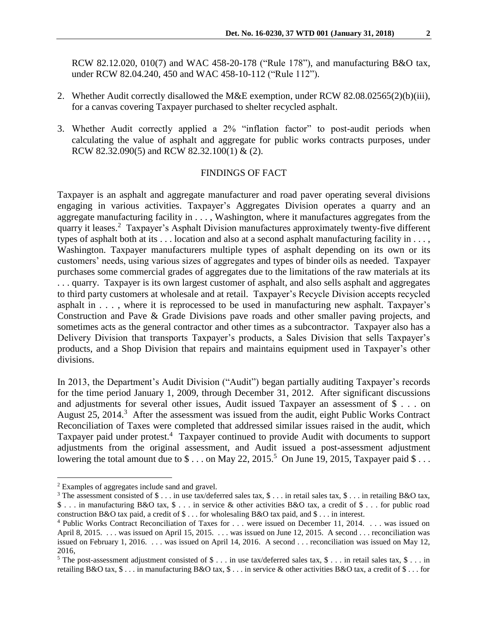RCW 82.12.020, 010(7) and WAC 458-20-178 ("Rule 178"), and manufacturing B&O tax, under RCW 82.04.240, 450 and WAC 458-10-112 ("Rule 112").

- 2. Whether Audit correctly disallowed the M&E exemption, under RCW 82.08.02565(2)(b)(iii), for a canvas covering Taxpayer purchased to shelter recycled asphalt.
- 3. Whether Audit correctly applied a 2% "inflation factor" to post-audit periods when calculating the value of asphalt and aggregate for public works contracts purposes, under RCW 82.32.090(5) and RCW 82.32.100(1) & (2).

## FINDINGS OF FACT

Taxpayer is an asphalt and aggregate manufacturer and road paver operating several divisions engaging in various activities. Taxpayer's Aggregates Division operates a quarry and an aggregate manufacturing facility in . . . , Washington, where it manufactures aggregates from the quarry it leases.<sup>2</sup> Taxpayer's Asphalt Division manufactures approximately twenty-five different types of asphalt both at its . . . location and also at a second asphalt manufacturing facility in . . . , Washington. Taxpayer manufacturers multiple types of asphalt depending on its own or its customers' needs, using various sizes of aggregates and types of binder oils as needed. Taxpayer purchases some commercial grades of aggregates due to the limitations of the raw materials at its . . . quarry. Taxpayer is its own largest customer of asphalt, and also sells asphalt and aggregates to third party customers at wholesale and at retail. Taxpayer's Recycle Division accepts recycled asphalt in . . . , where it is reprocessed to be used in manufacturing new asphalt. Taxpayer's Construction and Pave & Grade Divisions pave roads and other smaller paving projects, and sometimes acts as the general contractor and other times as a subcontractor. Taxpayer also has a Delivery Division that transports Taxpayer's products, a Sales Division that sells Taxpayer's products, and a Shop Division that repairs and maintains equipment used in Taxpayer's other divisions.

In 2013, the Department's Audit Division ("Audit") began partially auditing Taxpayer's records for the time period January 1, 2009, through December 31, 2012. After significant discussions and adjustments for several other issues, Audit issued Taxpayer an assessment of \$ . . . on August 25, 2014.<sup>3</sup> After the assessment was issued from the audit, eight Public Works Contract Reconciliation of Taxes were completed that addressed similar issues raised in the audit, which Taxpayer paid under protest.<sup>4</sup> Taxpayer continued to provide Audit with documents to support adjustments from the original assessment, and Audit issued a post-assessment adjustment lowering the total amount due to  $\$\dots$  on May 22, 2015.<sup>5</sup> On June 19, 2015, Taxpayer paid  $\$\dots$ 

<sup>2</sup> Examples of aggregates include sand and gravel.

<sup>&</sup>lt;sup>3</sup> The assessment consisted of \$ . . . in use tax/deferred sales tax, \$ . . . in retail sales tax, \$ . . . in retailing B&O tax, \$ . . . in manufacturing B&O tax, \$ . . . in service & other activities B&O tax, a credit of \$ . . . for public road construction B&O tax paid, a credit of \$ . . . for wholesaling B&O tax paid, and \$ . . . in interest.

<sup>4</sup> Public Works Contract Reconciliation of Taxes for . . . were issued on December 11, 2014. . . . was issued on April 8, 2015. . . . was issued on April 15, 2015. . . . was issued on June 12, 2015. A second . . . reconciliation was issued on February 1, 2016. . . . was issued on April 14, 2016. A second . . . reconciliation was issued on May 12, 2016,

<sup>&</sup>lt;sup>5</sup> The post-assessment adjustment consisted of \$ . . . in use tax/deferred sales tax, \$ . . . in retail sales tax, \$ . . . in retailing B&O tax, \$ . . . in manufacturing B&O tax, \$ . . . in service & other activities B&O tax, a credit of \$ . . . for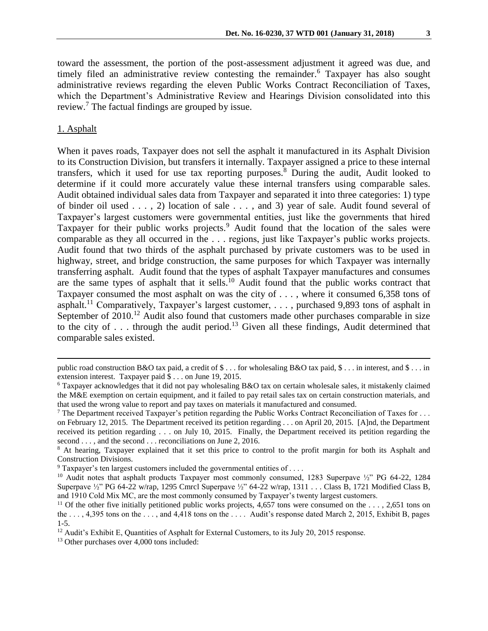toward the assessment, the portion of the post-assessment adjustment it agreed was due, and timely filed an administrative review contesting the remainder. <sup>6</sup> Taxpayer has also sought administrative reviews regarding the eleven Public Works Contract Reconciliation of Taxes, which the Department's Administrative Review and Hearings Division consolidated into this review.<sup>7</sup> The factual findings are grouped by issue.

## 1. Asphalt

 $\overline{a}$ 

When it paves roads, Taxpayer does not sell the asphalt it manufactured in its Asphalt Division to its Construction Division, but transfers it internally. Taxpayer assigned a price to these internal transfers, which it used for use tax reporting purposes.<sup>8</sup> During the audit, Audit looked to determine if it could more accurately value these internal transfers using comparable sales. Audit obtained individual sales data from Taxpayer and separated it into three categories: 1) type of binder oil used . . . , 2) location of sale . . . , and 3) year of sale. Audit found several of Taxpayer's largest customers were governmental entities, just like the governments that hired Taxpayer for their public works projects.<sup>9</sup> Audit found that the location of the sales were comparable as they all occurred in the . . . regions, just like Taxpayer's public works projects. Audit found that two thirds of the asphalt purchased by private customers was to be used in highway, street, and bridge construction, the same purposes for which Taxpayer was internally transferring asphalt. Audit found that the types of asphalt Taxpayer manufactures and consumes are the same types of asphalt that it sells.<sup>10</sup> Audit found that the public works contract that Taxpayer consumed the most asphalt on was the city of . . . , where it consumed 6,358 tons of asphalt.<sup>11</sup> Comparatively, Taxpayer's largest customer, ..., purchased 9,893 tons of asphalt in September of  $2010$ <sup>12</sup> Audit also found that customers made other purchases comparable in size to the city of  $\ldots$  through the audit period.<sup>13</sup> Given all these findings, Audit determined that comparable sales existed.

public road construction B&O tax paid, a credit of  $\$\dots$  for wholesaling B&O tax paid,  $\$\dots$  in interest, and  $\$\dots$  in extension interest. Taxpayer paid \$ . . . on June 19, 2015.

<sup>6</sup> Taxpayer acknowledges that it did not pay wholesaling B&O tax on certain wholesale sales, it mistakenly claimed the M&E exemption on certain equipment, and it failed to pay retail sales tax on certain construction materials, and that used the wrong value to report and pay taxes on materials it manufactured and consumed.

<sup>&</sup>lt;sup>7</sup> The Department received Taxpayer's petition regarding the Public Works Contract Reconciliation of Taxes for ...

on February 12, 2015. The Department received its petition regarding . . . on April 20, 2015. [A]nd, the Department received its petition regarding . . . on July 10, 2015. Finally, the Department received its petition regarding the second . . . , and the second . . . reconciliations on June 2, 2016.

<sup>8</sup> At hearing, Taxpayer explained that it set this price to control to the profit margin for both its Asphalt and Construction Divisions.

 $9$  Taxpayer's ten largest customers included the governmental entities of ...

<sup>10</sup> Audit notes that asphalt products Taxpayer most commonly consumed, 1283 Superpave ½" PG 64-22, 1284 Superpave ½" PG 64-22 w/rap, 1295 Cmrcl Superpave ½" 64-22 w/rap, 1311 . . . Class B, 1721 Modified Class B, and 1910 Cold Mix MC, are the most commonly consumed by Taxpayer's twenty largest customers.

<sup>&</sup>lt;sup>11</sup> Of the other five initially petitioned public works projects, 4,657 tons were consumed on the . . . , 2,651 tons on the . . . , 4,395 tons on the . . . , and 4,418 tons on the . . . . Audit's response dated March 2, 2015, Exhibit B, pages 1-5.

<sup>&</sup>lt;sup>12</sup> Audit's Exhibit E, Quantities of Asphalt for External Customers, to its July 20, 2015 response.

<sup>13</sup> Other purchases over 4,000 tons included: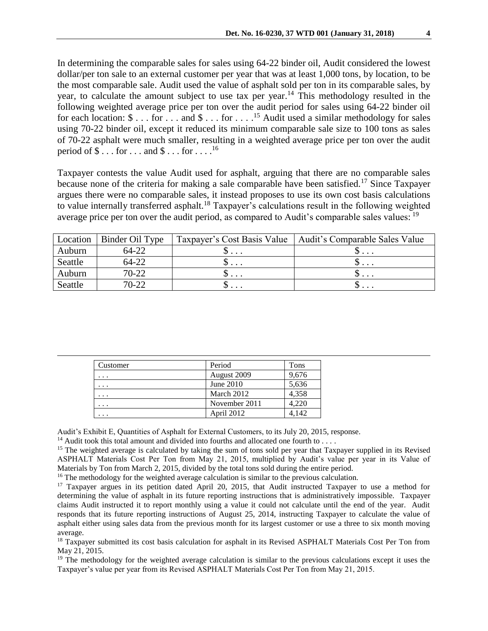In determining the comparable sales for sales using 64-22 binder oil, Audit considered the lowest dollar/per ton sale to an external customer per year that was at least 1,000 tons, by location, to be the most comparable sale. Audit used the value of asphalt sold per ton in its comparable sales, by year, to calculate the amount subject to use tax per year.<sup>14</sup> This methodology resulted in the following weighted average price per ton over the audit period for sales using 64-22 binder oil for each location:  $\$\dots$  for  $\dots$  and  $\$\dots$  for  $\dots$ . <sup>15</sup> Audit used a similar methodology for sales using 70-22 binder oil, except it reduced its minimum comparable sale size to 100 tons as sales of 70-22 asphalt were much smaller, resulting in a weighted average price per ton over the audit period of  $\$\dots$  for  $\dots$  and  $\$\dots$  for  $\dots$ .<sup>16</sup>

Taxpayer contests the value Audit used for asphalt, arguing that there are no comparable sales because none of the criteria for making a sale comparable have been satisfied.<sup>17</sup> Since Taxpayer argues there were no comparable sales, it instead proposes to use its own cost basis calculations to value internally transferred asphalt.<sup>18</sup> Taxpayer's calculations result in the following weighted average price per ton over the audit period, as compared to Audit's comparable sales values: <sup>19</sup>

| Location | Binder Oil Type | Taxpayer's Cost Basis Value | Audit's Comparable Sales Value |
|----------|-----------------|-----------------------------|--------------------------------|
| Auburn   | 64-22           | υ                           | υ                              |
| Seattle  | 64-22           | υ                           | υ                              |
| Auburn   | $70 - 22$       | $\mathcal{P}$               | $\cup$                         |
| Seattle  | $70-22$         | $\cup \cdot \cdot \cdot$    | $\cup$                         |

| Customer | Period        | Tons  |
|----------|---------------|-------|
| .        | August 2009   | 9,676 |
| .        | June $2010$   | 5,636 |
| .        | March 2012    | 4,358 |
| .        | November 2011 | 4,220 |
| .        | April 2012    |       |

 $\overline{a}$ 

Audit's Exhibit E, Quantities of Asphalt for External Customers, to its July 20, 2015, response.

<sup>14</sup> Audit took this total amount and divided into fourths and allocated one fourth to  $\dots$ .

<sup>15</sup> The weighted average is calculated by taking the sum of tons sold per year that Taxpayer supplied in its Revised ASPHALT Materials Cost Per Ton from May 21, 2015, multiplied by Audit's value per year in its Value of Materials by Ton from March 2, 2015, divided by the total tons sold during the entire period.

<sup>16</sup> The methodology for the weighted average calculation is similar to the previous calculation.

<sup>17</sup> Taxpayer argues in its petition dated April 20, 2015, that Audit instructed Taxpayer to use a method for determining the value of asphalt in its future reporting instructions that is administratively impossible. Taxpayer claims Audit instructed it to report monthly using a value it could not calculate until the end of the year. Audit responds that its future reporting instructions of August 25, 2014, instructing Taxpayer to calculate the value of asphalt either using sales data from the previous month for its largest customer or use a three to six month moving average.

<sup>18</sup> Taxpayer submitted its cost basis calculation for asphalt in its Revised ASPHALT Materials Cost Per Ton from May 21, 2015.

<sup>19</sup> The methodology for the weighted average calculation is similar to the previous calculations except it uses the Taxpayer's value per year from its Revised ASPHALT Materials Cost Per Ton from May 21, 2015.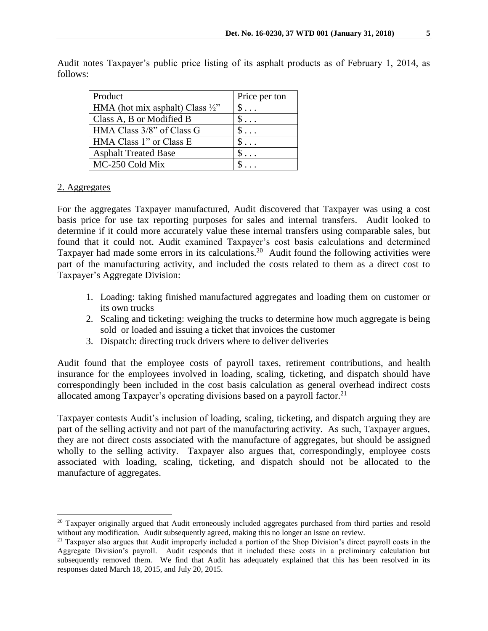| Product                                     | Price per ton      |
|---------------------------------------------|--------------------|
| HMA (hot mix asphalt) Class $\frac{1}{2}$ " |                    |
| Class A, B or Modified B                    | $\mathsf{S} \dots$ |
| HMA Class 3/8" of Class G                   |                    |
| HMA Class 1" or Class E                     |                    |
| <b>Asphalt Treated Base</b>                 |                    |
| MC-250 Cold Mix                             |                    |

Audit notes Taxpayer's public price listing of its asphalt products as of February 1, 2014, as follows:

## 2. Aggregates

 $\overline{a}$ 

For the aggregates Taxpayer manufactured, Audit discovered that Taxpayer was using a cost basis price for use tax reporting purposes for sales and internal transfers. Audit looked to determine if it could more accurately value these internal transfers using comparable sales, but found that it could not. Audit examined Taxpayer's cost basis calculations and determined Taxpayer had made some errors in its calculations.<sup>20</sup> Audit found the following activities were part of the manufacturing activity, and included the costs related to them as a direct cost to Taxpayer's Aggregate Division:

- 1. Loading: taking finished manufactured aggregates and loading them on customer or its own trucks
- 2. Scaling and ticketing: weighing the trucks to determine how much aggregate is being sold or loaded and issuing a ticket that invoices the customer
- 3. Dispatch: directing truck drivers where to deliver deliveries

Audit found that the employee costs of payroll taxes, retirement contributions, and health insurance for the employees involved in loading, scaling, ticketing, and dispatch should have correspondingly been included in the cost basis calculation as general overhead indirect costs allocated among Taxpayer's operating divisions based on a payroll factor.<sup>21</sup>

Taxpayer contests Audit's inclusion of loading, scaling, ticketing, and dispatch arguing they are part of the selling activity and not part of the manufacturing activity. As such, Taxpayer argues, they are not direct costs associated with the manufacture of aggregates, but should be assigned wholly to the selling activity. Taxpayer also argues that, correspondingly, employee costs associated with loading, scaling, ticketing, and dispatch should not be allocated to the manufacture of aggregates.

<sup>&</sup>lt;sup>20</sup> Taxpayer originally argued that Audit erroneously included aggregates purchased from third parties and resold without any modification. Audit subsequently agreed, making this no longer an issue on review.

<sup>&</sup>lt;sup>21</sup> Taxpayer also argues that Audit improperly included a portion of the Shop Division's direct payroll costs in the Aggregate Division's payroll. Audit responds that it included these costs in a preliminary calculation but subsequently removed them. We find that Audit has adequately explained that this has been resolved in its responses dated March 18, 2015, and July 20, 2015.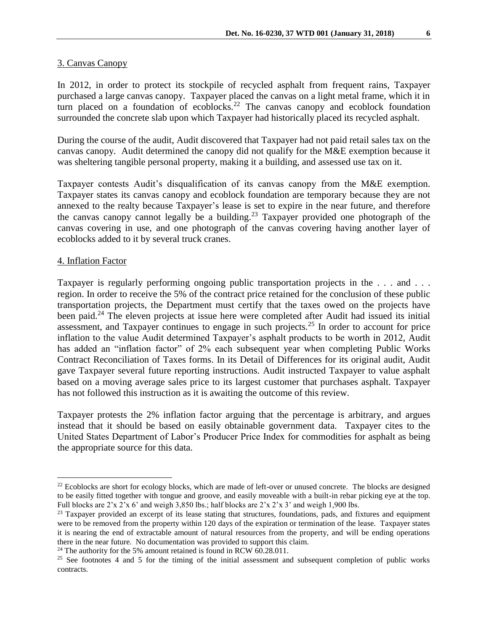## 3. Canvas Canopy

In 2012, in order to protect its stockpile of recycled asphalt from frequent rains, Taxpayer purchased a large canvas canopy. Taxpayer placed the canvas on a light metal frame, which it in turn placed on a foundation of ecoblocks.<sup>22</sup> The canvas canopy and ecoblock foundation surrounded the concrete slab upon which Taxpayer had historically placed its recycled asphalt.

During the course of the audit, Audit discovered that Taxpayer had not paid retail sales tax on the canvas canopy. Audit determined the canopy did not qualify for the M&E exemption because it was sheltering tangible personal property, making it a building, and assessed use tax on it.

Taxpayer contests Audit's disqualification of its canvas canopy from the M&E exemption. Taxpayer states its canvas canopy and ecoblock foundation are temporary because they are not annexed to the realty because Taxpayer's lease is set to expire in the near future, and therefore the canvas canopy cannot legally be a building.<sup>23</sup> Taxpayer provided one photograph of the canvas covering in use, and one photograph of the canvas covering having another layer of ecoblocks added to it by several truck cranes.

#### 4. Inflation Factor

 $\overline{a}$ 

Taxpayer is regularly performing ongoing public transportation projects in the ... and ... region. In order to receive the 5% of the contract price retained for the conclusion of these public transportation projects, the Department must certify that the taxes owed on the projects have been paid.<sup>24</sup> The eleven projects at issue here were completed after Audit had issued its initial assessment, and Taxpayer continues to engage in such projects.<sup>25</sup> In order to account for price inflation to the value Audit determined Taxpayer's asphalt products to be worth in 2012, Audit has added an "inflation factor" of 2% each subsequent year when completing Public Works Contract Reconciliation of Taxes forms. In its Detail of Differences for its original audit, Audit gave Taxpayer several future reporting instructions. Audit instructed Taxpayer to value asphalt based on a moving average sales price to its largest customer that purchases asphalt. Taxpayer has not followed this instruction as it is awaiting the outcome of this review.

Taxpayer protests the 2% inflation factor arguing that the percentage is arbitrary, and argues instead that it should be based on easily obtainable government data. Taxpayer cites to the United States Department of Labor's Producer Price Index for commodities for asphalt as being the appropriate source for this data.

<sup>&</sup>lt;sup>22</sup> Ecoblocks are short for ecology blocks, which are made of left-over or unused concrete. The blocks are designed to be easily fitted together with tongue and groove, and easily moveable with a built-in rebar picking eye at the top. Full blocks are  $2'x 2'x 6'$  and weigh 3,850 lbs.; half blocks are  $2'x 2'x 3'$  and weigh 1,900 lbs.

<sup>&</sup>lt;sup>23</sup> Taxpayer provided an excerpt of its lease stating that structures, foundations, pads, and fixtures and equipment were to be removed from the property within 120 days of the expiration or termination of the lease. Taxpayer states it is nearing the end of extractable amount of natural resources from the property, and will be ending operations there in the near future. No documentation was provided to support this claim.

<sup>&</sup>lt;sup>24</sup> The authority for the 5% amount retained is found in RCW  $60.28.011$ .

<sup>&</sup>lt;sup>25</sup> See footnotes 4 and 5 for the timing of the initial assessment and subsequent completion of public works contracts.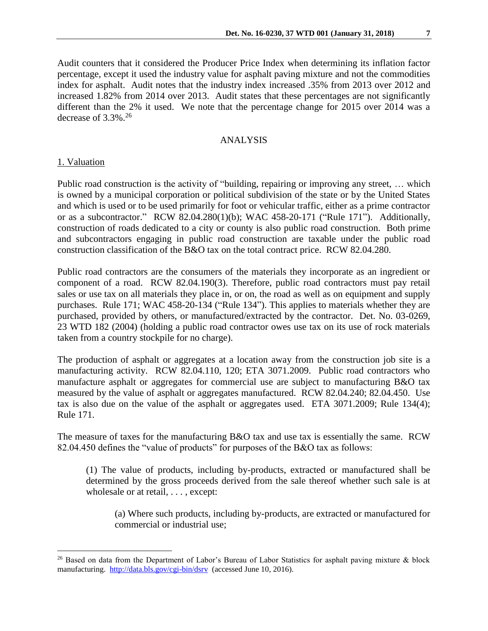Audit counters that it considered the Producer Price Index when determining its inflation factor percentage, except it used the industry value for asphalt paving mixture and not the commodities index for asphalt. Audit notes that the industry index increased .35% from 2013 over 2012 and increased 1.82% from 2014 over 2013. Audit states that these percentages are not significantly different than the 2% it used. We note that the percentage change for 2015 over 2014 was a decrease of  $3.3\%$ <sup>26</sup>

## ANALYSIS

## 1. Valuation

 $\overline{a}$ 

Public road construction is the activity of "building, repairing or improving any street, … which is owned by a municipal corporation or political subdivision of the state or by the United States and which is used or to be used primarily for foot or vehicular traffic, either as a prime contractor or as a subcontractor." RCW 82.04.280(1)(b); WAC 458-20-171 ("Rule 171"). Additionally, construction of roads dedicated to a city or county is also public road construction. Both prime and subcontractors engaging in public road construction are taxable under the public road construction classification of the B&O tax on the total contract price. RCW 82.04.280.

Public road contractors are the consumers of the materials they incorporate as an ingredient or component of a road. RCW 82.04.190(3). Therefore, public road contractors must pay retail sales or use tax on all materials they place in, or on, the road as well as on equipment and supply purchases. Rule 171; WAC 458-20-134 ("Rule 134"). This applies to materials whether they are purchased, provided by others, or manufactured/extracted by the contractor. Det. No. 03-0269, 23 WTD 182 (2004) (holding a public road contractor owes use tax on its use of rock materials taken from a country stockpile for no charge).

The production of asphalt or aggregates at a location away from the construction job site is a manufacturing activity. RCW 82.04.110, 120; ETA 3071.2009. Public road contractors who manufacture asphalt or aggregates for commercial use are subject to manufacturing B&O tax measured by the value of asphalt or aggregates manufactured. RCW 82.04.240; 82.04.450. Use tax is also due on the value of the asphalt or aggregates used. ETA 3071.2009; Rule 134(4); Rule 171.

The measure of taxes for the manufacturing B&O tax and use tax is essentially the same. RCW 82.04.450 defines the "value of products" for purposes of the B&O tax as follows:

(1) The value of products, including by-products, extracted or manufactured shall be determined by the gross proceeds derived from the sale thereof whether such sale is at wholesale or at retail, ..., except:

(a) Where such products, including by-products, are extracted or manufactured for commercial or industrial use;

<sup>&</sup>lt;sup>26</sup> Based on data from the Department of Labor's Bureau of Labor Statistics for asphalt paving mixture & block manufacturing. <http://data.bls.gov/cgi-bin/dsrv>(accessed June 10, 2016).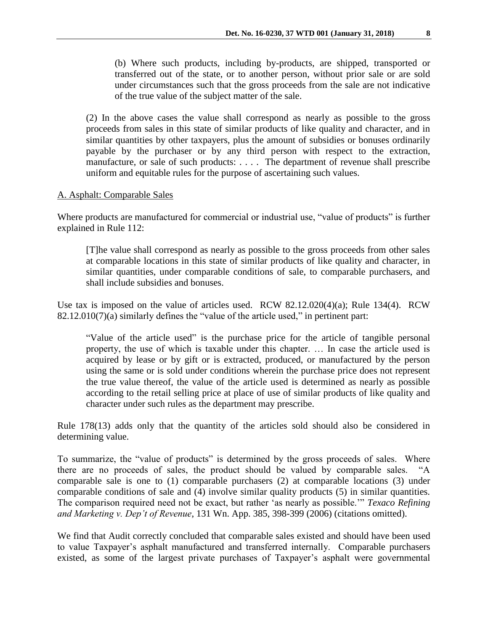(b) Where such products, including by-products, are shipped, transported or transferred out of the state, or to another person, without prior sale or are sold under circumstances such that the gross proceeds from the sale are not indicative of the true value of the subject matter of the sale.

(2) In the above cases the value shall correspond as nearly as possible to the gross proceeds from sales in this state of similar products of like quality and character, and in similar quantities by other taxpayers, plus the amount of subsidies or bonuses ordinarily payable by the purchaser or by any third person with respect to the extraction, manufacture, or sale of such products: . . . . The department of revenue shall prescribe uniform and equitable rules for the purpose of ascertaining such values.

#### A. Asphalt: Comparable Sales

Where products are manufactured for commercial or industrial use, "value of products" is further explained in Rule 112:

[T]he value shall correspond as nearly as possible to the gross proceeds from other sales at comparable locations in this state of similar products of like quality and character, in similar quantities, under comparable conditions of sale, to comparable purchasers, and shall include subsidies and bonuses.

Use tax is imposed on the value of articles used. RCW 82.12.020(4)(a); Rule 134(4). RCW 82.12.010(7)(a) similarly defines the "value of the article used," in pertinent part:

"Value of the article used" is the purchase price for the article of tangible personal property, the use of which is taxable under this chapter. … In case the article used is acquired by lease or by gift or is extracted, produced, or manufactured by the person using the same or is sold under conditions wherein the purchase price does not represent the true value thereof, the value of the article used is determined as nearly as possible according to the retail selling price at place of use of similar products of like quality and character under such rules as the department may prescribe.

Rule 178(13) adds only that the quantity of the articles sold should also be considered in determining value.

To summarize, the "value of products" is determined by the gross proceeds of sales. Where there are no proceeds of sales, the product should be valued by comparable sales. "A comparable sale is one to (1) comparable purchasers (2) at comparable locations (3) under comparable conditions of sale and  $(4)$  involve similar quality products  $(5)$  in similar quantities. The comparison required need not be exact, but rather 'as nearly as possible.'" *Texaco Refining and Marketing v. Dep't of Revenue*, 131 Wn. App. 385, 398-399 (2006) (citations omitted).

We find that Audit correctly concluded that comparable sales existed and should have been used to value Taxpayer's asphalt manufactured and transferred internally. Comparable purchasers existed, as some of the largest private purchases of Taxpayer's asphalt were governmental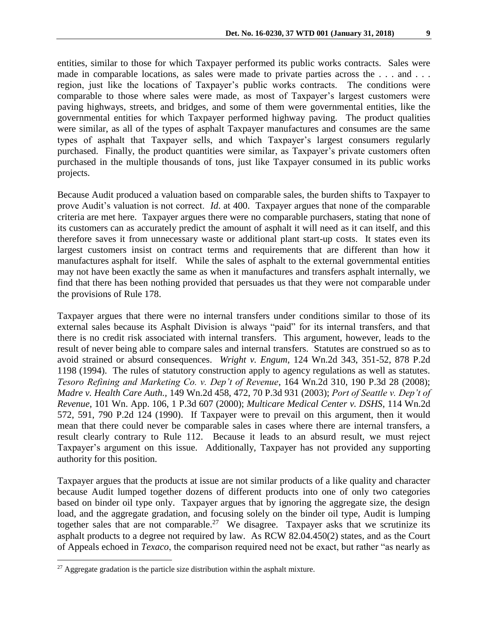entities, similar to those for which Taxpayer performed its public works contracts. Sales were made in comparable locations, as sales were made to private parties across the ... and ... region, just like the locations of Taxpayer's public works contracts. The conditions were comparable to those where sales were made, as most of Taxpayer's largest customers were paving highways, streets, and bridges, and some of them were governmental entities, like the governmental entities for which Taxpayer performed highway paving. The product qualities were similar, as all of the types of asphalt Taxpayer manufactures and consumes are the same types of asphalt that Taxpayer sells, and which Taxpayer's largest consumers regularly purchased. Finally, the product quantities were similar, as Taxpayer's private customers often purchased in the multiple thousands of tons, just like Taxpayer consumed in its public works projects.

Because Audit produced a valuation based on comparable sales, the burden shifts to Taxpayer to prove Audit's valuation is not correct. *Id*. at 400. Taxpayer argues that none of the comparable criteria are met here. Taxpayer argues there were no comparable purchasers, stating that none of its customers can as accurately predict the amount of asphalt it will need as it can itself, and this therefore saves it from unnecessary waste or additional plant start-up costs. It states even its largest customers insist on contract terms and requirements that are different than how it manufactures asphalt for itself. While the sales of asphalt to the external governmental entities may not have been exactly the same as when it manufactures and transfers asphalt internally, we find that there has been nothing provided that persuades us that they were not comparable under the provisions of Rule 178.

Taxpayer argues that there were no internal transfers under conditions similar to those of its external sales because its Asphalt Division is always "paid" for its internal transfers, and that there is no credit risk associated with internal transfers. This argument, however, leads to the result of never being able to compare sales and internal transfers. Statutes are construed so as to avoid strained or absurd consequences. *Wright v. Engum*, 124 Wn.2d 343, 351-52, 878 P.2d 1198 (1994). The rules of statutory construction apply to agency regulations as well as statutes. *Tesoro Refining and Marketing Co. v. Dep't of Revenue*, 164 Wn.2d 310, 190 P.3d 28 (2008); *Madre v. Health Care Auth.,* 149 Wn.2d 458, 472, 70 P.3d 931 (2003); *Port of Seattle v. Dep't of Revenue*, 101 Wn. App. 106, 1 P.3d 607 (2000); *Multicare Medical Center v. DSHS*, 114 Wn.2d 572, 591, 790 P.2d 124 (1990). If Taxpayer were to prevail on this argument, then it would mean that there could never be comparable sales in cases where there are internal transfers, a result clearly contrary to Rule 112. Because it leads to an absurd result, we must reject Taxpayer's argument on this issue. Additionally, Taxpayer has not provided any supporting authority for this position.

Taxpayer argues that the products at issue are not similar products of a like quality and character because Audit lumped together dozens of different products into one of only two categories based on binder oil type only. Taxpayer argues that by ignoring the aggregate size, the design load, and the aggregate gradation, and focusing solely on the binder oil type, Audit is lumping together sales that are not comparable.<sup>27</sup> We disagree. Taxpayer asks that we scrutinize its asphalt products to a degree not required by law. As RCW 82.04.450(2) states, and as the Court of Appeals echoed in *Texaco*, the comparison required need not be exact, but rather "as nearly as

 $27$  Aggregate gradation is the particle size distribution within the asphalt mixture.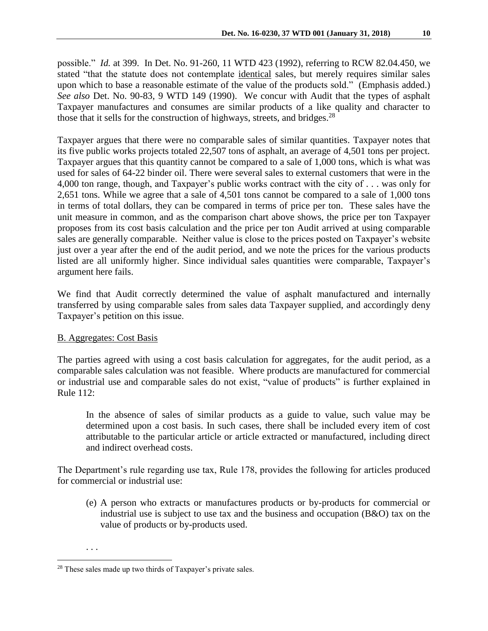possible." *Id.* at 399. In Det. No. 91-260, 11 WTD 423 (1992), referring to RCW 82.04.450, we stated "that the statute does not contemplate identical sales, but merely requires similar sales upon which to base a reasonable estimate of the value of the products sold." (Emphasis added.) *See also* Det. No. 90-83, 9 WTD 149 (1990). We concur with Audit that the types of asphalt Taxpayer manufactures and consumes are similar products of a like quality and character to those that it sells for the construction of highways, streets, and bridges.<sup>28</sup>

Taxpayer argues that there were no comparable sales of similar quantities. Taxpayer notes that its five public works projects totaled 22,507 tons of asphalt, an average of 4,501 tons per project. Taxpayer argues that this quantity cannot be compared to a sale of 1,000 tons, which is what was used for sales of 64-22 binder oil. There were several sales to external customers that were in the 4,000 ton range, though, and Taxpayer's public works contract with the city of . . . was only for 2,651 tons. While we agree that a sale of 4,501 tons cannot be compared to a sale of 1,000 tons in terms of total dollars, they can be compared in terms of price per ton. These sales have the unit measure in common, and as the comparison chart above shows, the price per ton Taxpayer proposes from its cost basis calculation and the price per ton Audit arrived at using comparable sales are generally comparable. Neither value is close to the prices posted on Taxpayer's website just over a year after the end of the audit period, and we note the prices for the various products listed are all uniformly higher. Since individual sales quantities were comparable, Taxpayer's argument here fails.

We find that Audit correctly determined the value of asphalt manufactured and internally transferred by using comparable sales from sales data Taxpayer supplied, and accordingly deny Taxpayer's petition on this issue.

# B. Aggregates: Cost Basis

The parties agreed with using a cost basis calculation for aggregates, for the audit period, as a comparable sales calculation was not feasible. Where products are manufactured for commercial or industrial use and comparable sales do not exist, "value of products" is further explained in Rule 112:

In the absence of sales of similar products as a guide to value, such value may be determined upon a cost basis. In such cases, there shall be included every item of cost attributable to the particular article or article extracted or manufactured, including direct and indirect overhead costs.

The Department's rule regarding use tax, Rule 178, provides the following for articles produced for commercial or industrial use:

(e) A person who extracts or manufactures products or by-products for commercial or industrial use is subject to use tax and the business and occupation (B&O) tax on the value of products or by-products used.

. . .

 $\overline{a}$ <sup>28</sup> These sales made up two thirds of Taxpayer's private sales.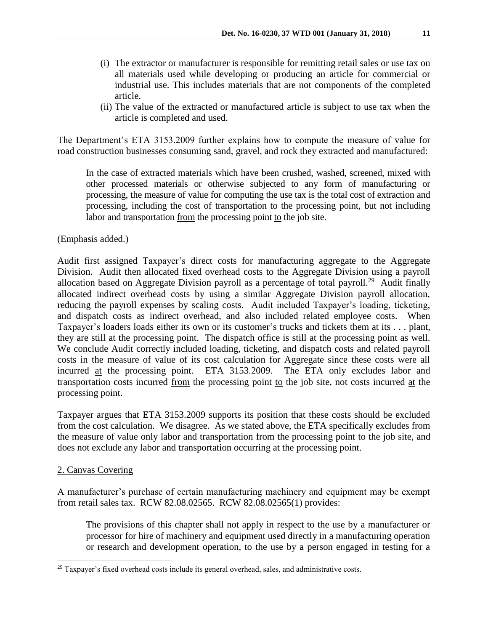- (i) The extractor or manufacturer is responsible for remitting retail sales or use tax on all materials used while developing or producing an article for commercial or industrial use. This includes materials that are not components of the completed article.
- (ii) The value of the extracted or manufactured article is subject to use tax when the article is completed and used.

The Department's ETA 3153.2009 further explains how to compute the measure of value for road construction businesses consuming sand, gravel, and rock they extracted and manufactured:

In the case of extracted materials which have been crushed, washed, screened, mixed with other processed materials or otherwise subjected to any form of manufacturing or processing, the measure of value for computing the use tax is the total cost of extraction and processing, including the cost of transportation to the processing point, but not including labor and transportation from the processing point to the job site.

(Emphasis added.)

Audit first assigned Taxpayer's direct costs for manufacturing aggregate to the Aggregate Division. Audit then allocated fixed overhead costs to the Aggregate Division using a payroll allocation based on Aggregate Division payroll as a percentage of total payroll.<sup>29</sup> Audit finally allocated indirect overhead costs by using a similar Aggregate Division payroll allocation, reducing the payroll expenses by scaling costs. Audit included Taxpayer's loading, ticketing, and dispatch costs as indirect overhead, and also included related employee costs. When Taxpayer's loaders loads either its own or its customer's trucks and tickets them at its . . . plant, they are still at the processing point. The dispatch office is still at the processing point as well. We conclude Audit correctly included loading, ticketing, and dispatch costs and related payroll costs in the measure of value of its cost calculation for Aggregate since these costs were all incurred at the processing point. ETA 3153.2009. The ETA only excludes labor and transportation costs incurred from the processing point to the job site, not costs incurred at the processing point.

Taxpayer argues that ETA 3153.2009 supports its position that these costs should be excluded from the cost calculation. We disagree. As we stated above, the ETA specifically excludes from the measure of value only labor and transportation from the processing point to the job site, and does not exclude any labor and transportation occurring at the processing point.

# 2. Canvas Covering

 $\overline{a}$ 

A manufacturer's purchase of certain manufacturing machinery and equipment may be exempt from retail sales tax. RCW 82.08.02565. RCW 82.08.02565(1) provides:

The provisions of this chapter shall not apply in respect to the use by a manufacturer or processor for hire of machinery and equipment used directly in a manufacturing operation or research and development operation, to the use by a person engaged in testing for a

<sup>&</sup>lt;sup>29</sup> Taxpayer's fixed overhead costs include its general overhead, sales, and administrative costs.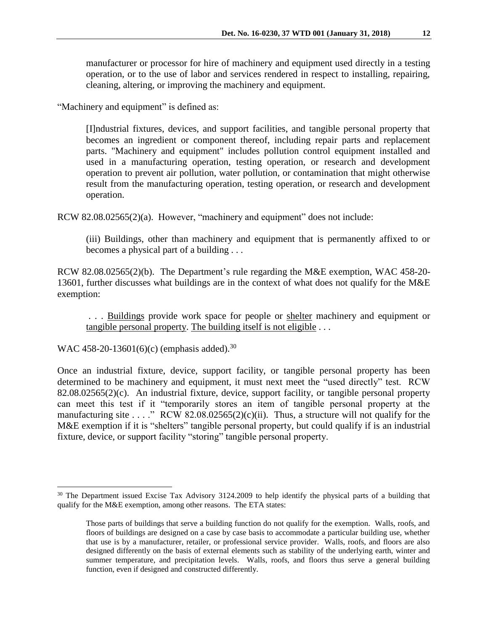manufacturer or processor for hire of machinery and equipment used directly in a testing operation, or to the use of labor and services rendered in respect to installing, repairing, cleaning, altering, or improving the machinery and equipment.

"Machinery and equipment" is defined as:

[I]ndustrial fixtures, devices, and support facilities, and tangible personal property that becomes an ingredient or component thereof, including repair parts and replacement parts. "Machinery and equipment" includes pollution control equipment installed and used in a manufacturing operation, testing operation, or research and development operation to prevent air pollution, water pollution, or contamination that might otherwise result from the manufacturing operation, testing operation, or research and development operation.

RCW 82.08.02565(2)(a). However, "machinery and equipment" does not include:

(iii) Buildings, other than machinery and equipment that is permanently affixed to or becomes a physical part of a building . . .

RCW 82.08.02565(2)(b). The Department's rule regarding the M&E exemption, WAC 458-20- 13601, further discusses what buildings are in the context of what does not qualify for the M&E exemption:

. . . Buildings provide work space for people or shelter machinery and equipment or tangible personal property. The building itself is not eligible . . .

WAC 458-20-13601(6)(c) (emphasis added).<sup>30</sup>

 $\overline{a}$ 

Once an industrial fixture, device, support facility, or tangible personal property has been determined to be machinery and equipment, it must next meet the "used directly" test. RCW 82.08.02565(2)(c). An industrial fixture, device, support facility, or tangible personal property can meet this test if it "temporarily stores an item of tangible personal property at the manufacturing site . . . ." RCW 82.08.02565(2)(c)(ii). Thus, a structure will not qualify for the M&E exemption if it is "shelters" tangible personal property, but could qualify if is an industrial fixture, device, or support facility "storing" tangible personal property.

<sup>&</sup>lt;sup>30</sup> The Department issued Excise Tax Advisory 3124.2009 to help identify the physical parts of a building that qualify for the M&E exemption, among other reasons. The ETA states:

Those parts of buildings that serve a building function do not qualify for the exemption. Walls, roofs, and floors of buildings are designed on a case by case basis to accommodate a particular building use, whether that use is by a manufacturer, retailer, or professional service provider. Walls, roofs, and floors are also designed differently on the basis of external elements such as stability of the underlying earth, winter and summer temperature, and precipitation levels. Walls, roofs, and floors thus serve a general building function, even if designed and constructed differently.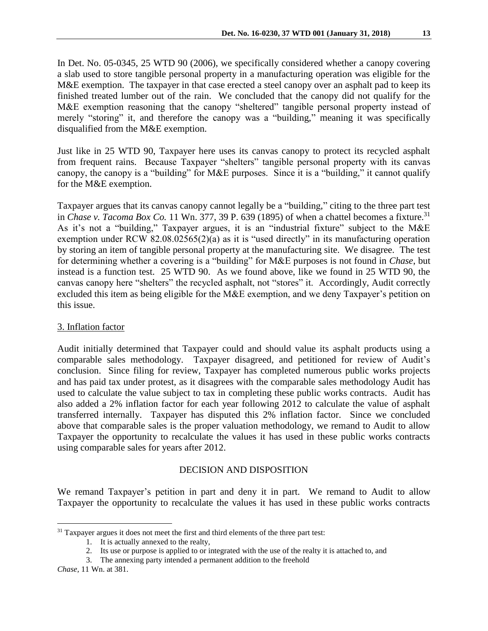In Det. No. 05-0345, 25 WTD 90 (2006), we specifically considered whether a canopy covering a slab used to store tangible personal property in a manufacturing operation was eligible for the M&E exemption. The taxpayer in that case erected a steel canopy over an asphalt pad to keep its finished treated lumber out of the rain. We concluded that the canopy did not qualify for the M&E exemption reasoning that the canopy "sheltered" tangible personal property instead of merely "storing" it, and therefore the canopy was a "building," meaning it was specifically disqualified from the M&E exemption.

Just like in 25 WTD 90, Taxpayer here uses its canvas canopy to protect its recycled asphalt from frequent rains. Because Taxpayer "shelters" tangible personal property with its canvas canopy, the canopy is a "building" for M&E purposes. Since it is a "building," it cannot qualify for the M&E exemption.

Taxpayer argues that its canvas canopy cannot legally be a "building," citing to the three part test in *Chase v. Tacoma Box Co.* 11 Wn. 377, 39 P. 639 (1895) of when a chattel becomes a fixture.<sup>31</sup> As it's not a "building," Taxpayer argues, it is an "industrial fixture" subject to the M&E exemption under RCW 82.08.02565(2)(a) as it is "used directly" in its manufacturing operation by storing an item of tangible personal property at the manufacturing site. We disagree. The test for determining whether a covering is a "building" for M&E purposes is not found in *Chase*, but instead is a function test. 25 WTD 90. As we found above, like we found in 25 WTD 90, the canvas canopy here "shelters" the recycled asphalt, not "stores" it. Accordingly, Audit correctly excluded this item as being eligible for the M&E exemption, and we deny Taxpayer's petition on this issue.

# 3. Inflation factor

Audit initially determined that Taxpayer could and should value its asphalt products using a comparable sales methodology. Taxpayer disagreed, and petitioned for review of Audit's conclusion. Since filing for review, Taxpayer has completed numerous public works projects and has paid tax under protest, as it disagrees with the comparable sales methodology Audit has used to calculate the value subject to tax in completing these public works contracts. Audit has also added a 2% inflation factor for each year following 2012 to calculate the value of asphalt transferred internally. Taxpayer has disputed this 2% inflation factor. Since we concluded above that comparable sales is the proper valuation methodology, we remand to Audit to allow Taxpayer the opportunity to recalculate the values it has used in these public works contracts using comparable sales for years after 2012.

# DECISION AND DISPOSITION

We remand Taxpayer's petition in part and deny it in part. We remand to Audit to allow Taxpayer the opportunity to recalculate the values it has used in these public works contracts

<sup>&</sup>lt;sup>31</sup> Taxpayer argues it does not meet the first and third elements of the three part test:

<sup>1.</sup> It is actually annexed to the realty,

<sup>2.</sup> Its use or purpose is applied to or integrated with the use of the realty it is attached to, and

<sup>3.</sup> The annexing party intended a permanent addition to the freehold

*Chase,* 11 Wn. at 381.